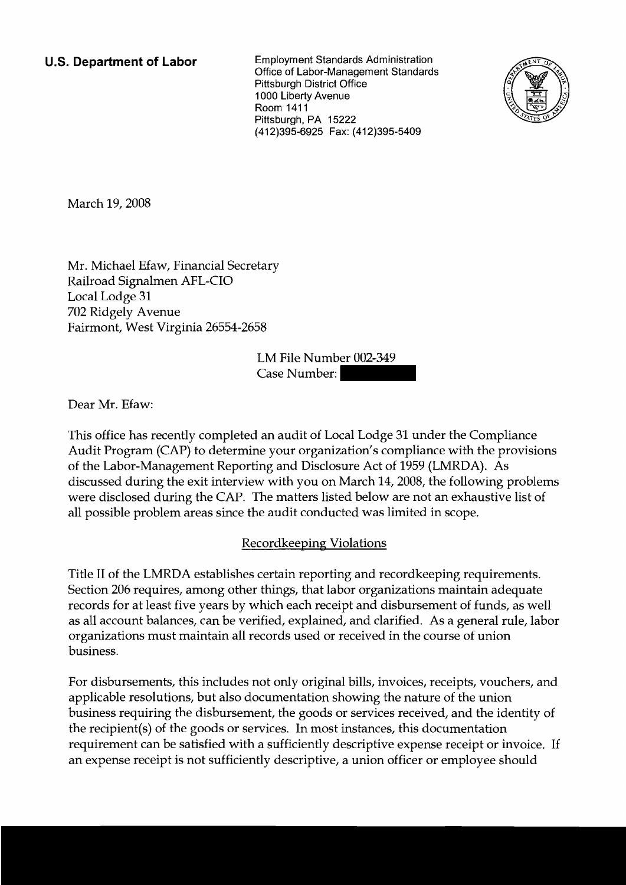**U.S. Department of Labor** Employment Standards Administration Office of Labor-Management Standards Pittsburgh District Office 1000 Liberty Avenue Room 1411 Pittsburgh, PA 15222 (412)395-6925 Fax: (412)395-5409



March 19,2008

Mr. Michael Efaw, Financial Secretary Railroad Signalmen AFL-CIO Local Lodge 31 702 Ridgely Avenue Fairmont, West Virginia 26554-2658

LM File Number 002-349 tary<br>58<br>LM File Number: 002-349<br>Case Number:

Dear Mr. Efaw:

This office has recently completed an audit of Local Lodge 31 under the Compliance Audit Program (CAP) to determine your organization's compliance with the provisions of the Labor-Management Reporting and Disclosure Act of 1959 (LNIRDA). As discussed during the exit interview with you on March 14,2008, the following problems were disclosed during the CAP. The matters listed below are not an exhaustive list of all possible problem areas since the audit conducted was limited in scope.

## **Recordkeeping Violations**

Title I1 of the LMRDA establishes certain reporting and recordkeeping requirements. Section 206 requires, among other things, that labor organizations maintain adequate records for at least five years by which each receipt and disbursement of funds, as well as all account balances, can be verified, explained, and clarified. As a general rule, labor organizations must maintain all records used or received in the course of union business.

For disbursements, this includes not only original bills, invoices, receipts, vouchers, and applicable resolutions, but also documentation showing the nature of the union business requiring the disbursement, the goods or services received, and the identity of the recipient(s) of the goods or services. In most instances, this documentation requirement can be satisfied with a sufficiently descriptive expense receipt or invoice. If an expense receipt is not sufficiently descriptive, a union officer or employee should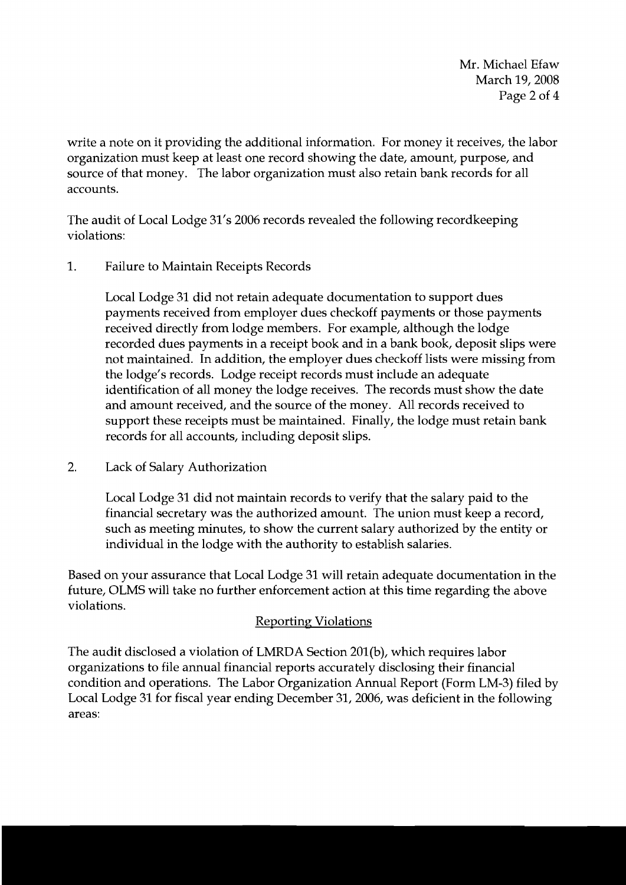Mr. Michael Efaw March 19, 2008 Page 2 of 4

write a note on it providing the additional information. For money it receives, the labor organization must keep at least one record showing the date, amount, purpose, and source of that money. The labor organization must also retain bank records for all accounts.

The audit of Local Lodge 31's 2006 records revealed the following recordkeeping violations:

1. Failure to Maintain Receipts Records

Local Lodge 31 did not retain adequate documentation to support dues payments received from employer dues checkoff payments or those payments received directly from lodge members. For example, although the lodge recorded dues payments in a receipt book and in a bank book, deposit slips were not maintained. In addition, the employer dues checkoff lists were missing from the lodge's records. Lodge receipt records must include an adequate identification of all money the lodge receives. The records must show the date and amount received, and the source of the money. All records received to support these receipts must be maintained. Finally, the lodge must retain bank records for all accounts, including deposit slips.

2. Lack of Salary Authorization

Local Lodge 31 did not maintain records to verify that the salary paid to the financial secretary was the authorized amount. The union must keep a record, such as meeting minutes, to show the current salary authorized by the entity or individual in the lodge with the authority to establish salaries.

Based on your assurance that Local Lodge 31 will retain adequate documentation in the future, OLMS will take no further enforcement action at this time regarding the above violations.

## **Reporting Violations**

The audit disclosed a violation of LMRDA Section 201(b), which requires labor organizations to file annual financial reports accurately disclosing their financial condition and operations. The Labor Organization Annual Report (Form LM-3) filed by Local Lodge 31 for fiscal year ending December 31, 2006, was deficient in the following areas: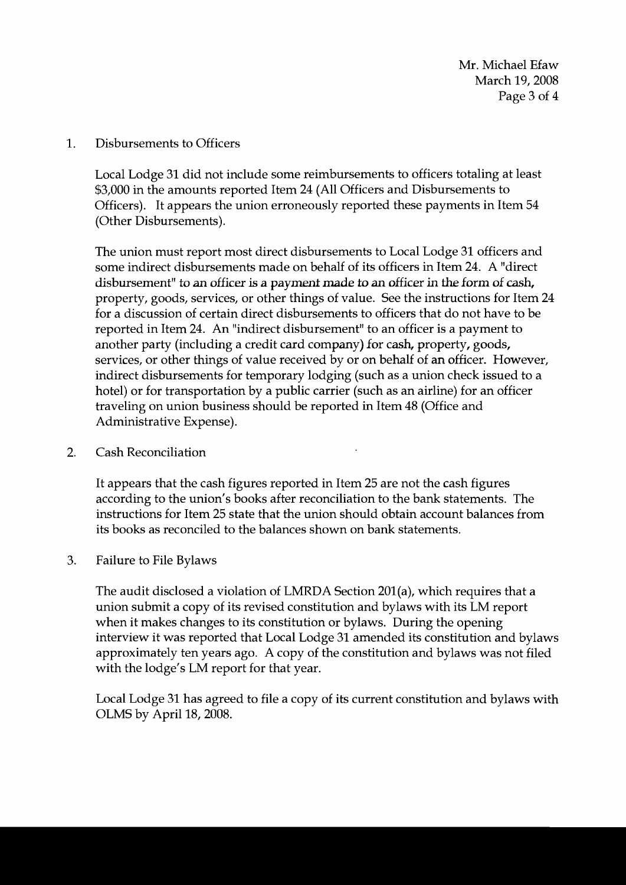1. Disbursements to Officers

Local Lodge 31 did not include some reimbursements to officers totaling at least \$3,000 in the amounts reported Item 24 (All Officers and Disbursements to Officers). It appears the union erroneously reported these payments in Item 54 (Other Disbursements).

The union must report most direct disbursements to Local Lodge 31 officers and some indirect disbursements made on behalf of its officers in Item 24. A "direct disbursement" to an officer is **a paymenf** made to an officer in the form of **cash,**  property, goods, services, or other things of value. See the instructions for Item 24 for a discussion of certain direct disbursements to officers that do not have to be reported in Item 24. An "indirect disbursement" to an officer is a payment to another party (including a credit card company) for cash, property, goods, services, or other things of value received by or on behalf of an officer. However, indirect disbursements for temporary lodging (such as a union check issued to a hotel) or for transportation by a public carrier (such as an airline) for an officer traveling on union business should be reported in Item 48 (Office and Administrative Expense).

2. Cash Reconciliation

It appears that the cash figures reported in Item 25 are not the cash figures according to the union's books after reconciliation to the bank statements. The instructions for Item 25 state that the union should obtain account balances from its books as reconciled to the balances shown on bank statements.

3. Failure to File Bylaws

The audit disclosed a violation of LMRDA Section 201(a), which requires that a union submit a copy of its revised constitution and bylaws with its LM report when it makes changes to its constitution or bylaws. During the opening interview it was reported that Local Lodge 31 amended its constitution and bylaws approximately ten years ago. A copy of the constitution and bylaws was not filed with the lodge's LM report for that year.

Local Lodge 31 has agreed to file a copy of its current constitution and bylaws with OLMS by April 18, 2008.